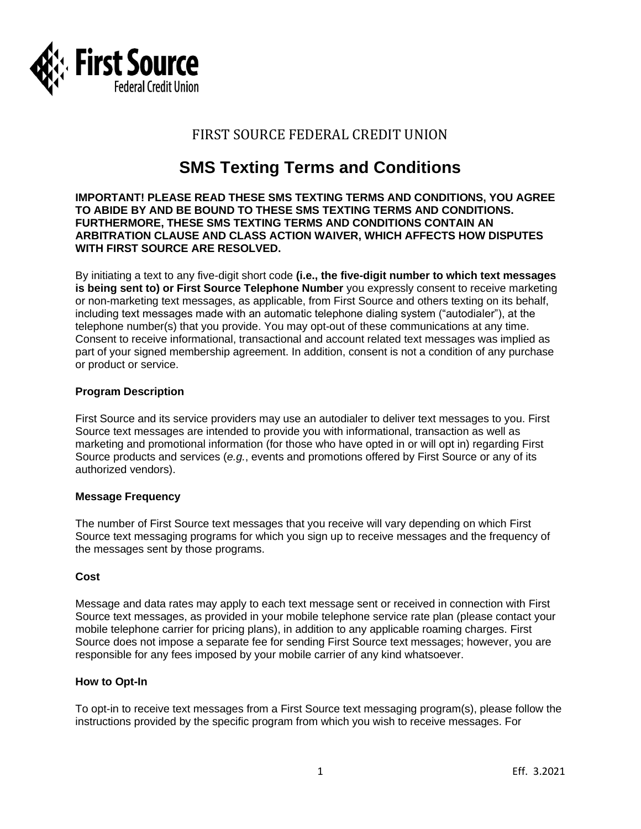

# FIRST SOURCE FEDERAL CREDIT UNION

# **SMS Texting Terms and Conditions**

#### **IMPORTANT! PLEASE READ THESE SMS TEXTING TERMS AND CONDITIONS, YOU AGREE TO ABIDE BY AND BE BOUND TO THESE SMS TEXTING TERMS AND CONDITIONS. FURTHERMORE, THESE SMS TEXTING TERMS AND CONDITIONS CONTAIN AN ARBITRATION CLAUSE AND CLASS ACTION WAIVER, WHICH AFFECTS HOW DISPUTES WITH FIRST SOURCE ARE RESOLVED.**

By initiating a text to any five-digit short code **(i.e., the five-digit number to which text messages is being sent to) or First Source Telephone Number** you expressly consent to receive marketing or non-marketing text messages, as applicable, from First Source and others texting on its behalf, including text messages made with an automatic telephone dialing system ("autodialer"), at the telephone number(s) that you provide. You may opt-out of these communications at any time. Consent to receive informational, transactional and account related text messages was implied as part of your signed membership agreement. In addition, consent is not a condition of any purchase or product or service.

# **Program Description**

First Source and its service providers may use an autodialer to deliver text messages to you. First Source text messages are intended to provide you with informational, transaction as well as marketing and promotional information (for those who have opted in or will opt in) regarding First Source products and services (*e.g.*, events and promotions offered by First Source or any of its authorized vendors).

# **Message Frequency**

The number of First Source text messages that you receive will vary depending on which First Source text messaging programs for which you sign up to receive messages and the frequency of the messages sent by those programs.

# **Cost**

Message and data rates may apply to each text message sent or received in connection with First Source text messages, as provided in your mobile telephone service rate plan (please contact your mobile telephone carrier for pricing plans), in addition to any applicable roaming charges. First Source does not impose a separate fee for sending First Source text messages; however, you are responsible for any fees imposed by your mobile carrier of any kind whatsoever.

# **How to Opt-In**

To opt-in to receive text messages from a First Source text messaging program(s), please follow the instructions provided by the specific program from which you wish to receive messages. For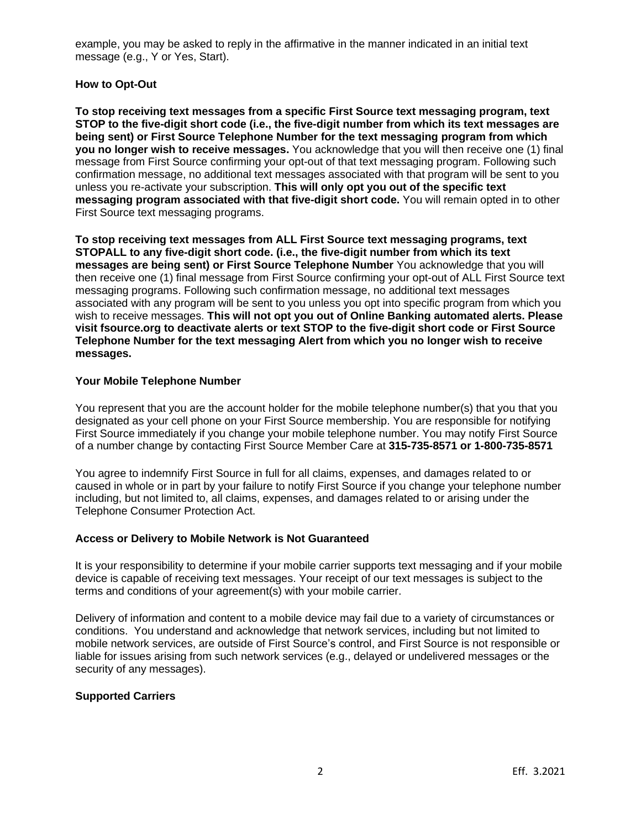example, you may be asked to reply in the affirmative in the manner indicated in an initial text message (e.g., Y or Yes, Start).

# **How to Opt-Out**

**To stop receiving text messages from a specific First Source text messaging program, text STOP to the five-digit short code (i.e., the five-digit number from which its text messages are being sent) or First Source Telephone Number for the text messaging program from which you no longer wish to receive messages.** You acknowledge that you will then receive one (1) final message from First Source confirming your opt-out of that text messaging program. Following such confirmation message, no additional text messages associated with that program will be sent to you unless you re-activate your subscription. **This will only opt you out of the specific text messaging program associated with that five-digit short code.** You will remain opted in to other First Source text messaging programs.

**To stop receiving text messages from ALL First Source text messaging programs, text STOPALL to any five-digit short code. (i.e., the five-digit number from which its text messages are being sent) or First Source Telephone Number** You acknowledge that you will then receive one (1) final message from First Source confirming your opt-out of ALL First Source text messaging programs. Following such confirmation message, no additional text messages associated with any program will be sent to you unless you opt into specific program from which you wish to receive messages. **This will not opt you out of Online Banking automated alerts. Please visit fsource.org to deactivate alerts or text STOP to the five-digit short code or First Source Telephone Number for the text messaging Alert from which you no longer wish to receive messages.**

#### **Your Mobile Telephone Number**

You represent that you are the account holder for the mobile telephone number(s) that you that you designated as your cell phone on your First Source membership. You are responsible for notifying First Source immediately if you change your mobile telephone number. You may notify First Source of a number change by contacting First Source Member Care at **315-735-8571 or 1-800-735-8571**

You agree to indemnify First Source in full for all claims, expenses, and damages related to or caused in whole or in part by your failure to notify First Source if you change your telephone number including, but not limited to, all claims, expenses, and damages related to or arising under the Telephone Consumer Protection Act.

# **Access or Delivery to Mobile Network is Not Guaranteed**

It is your responsibility to determine if your mobile carrier supports text messaging and if your mobile device is capable of receiving text messages. Your receipt of our text messages is subject to the terms and conditions of your agreement(s) with your mobile carrier.

Delivery of information and content to a mobile device may fail due to a variety of circumstances or conditions. You understand and acknowledge that network services, including but not limited to mobile network services, are outside of First Source's control, and First Source is not responsible or liable for issues arising from such network services (e.g., delayed or undelivered messages or the security of any messages).

# **Supported Carriers**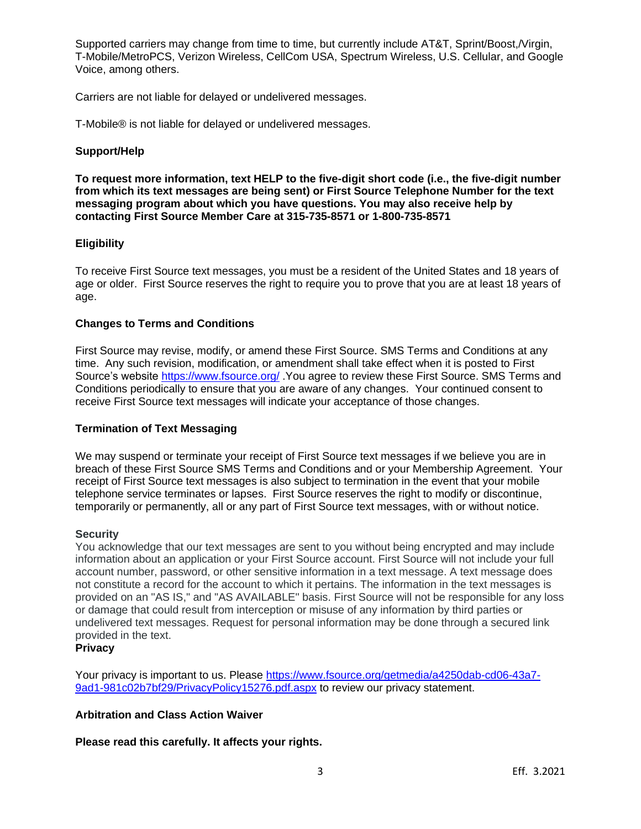Supported carriers may change from time to time, but currently include AT&T, Sprint/Boost,/Virgin, T-Mobile/MetroPCS, Verizon Wireless, CellCom USA, Spectrum Wireless, U.S. Cellular, and Google Voice, among others.

Carriers are not liable for delayed or undelivered messages.

T-Mobile® is not liable for delayed or undelivered messages.

#### **Support/Help**

**To request more information, text HELP to the five-digit short code (i.e., the five-digit number from which its text messages are being sent) or First Source Telephone Number for the text messaging program about which you have questions. You may also receive help by contacting First Source Member Care at 315-735-8571 or 1-800-735-8571**

#### **Eligibility**

To receive First Source text messages, you must be a resident of the United States and 18 years of age or older. First Source reserves the right to require you to prove that you are at least 18 years of age.

#### **Changes to Terms and Conditions**

First Source may revise, modify, or amend these First Source. SMS Terms and Conditions at any time. Any such revision, modification, or amendment shall take effect when it is posted to First Source's website<https://www.fsource.org/> .You agree to review these First Source. SMS Terms and Conditions periodically to ensure that you are aware of any changes. Your continued consent to receive First Source text messages will indicate your acceptance of those changes.

#### **Termination of Text Messaging**

We may suspend or terminate your receipt of First Source text messages if we believe you are in breach of these First Source SMS Terms and Conditions and or your Membership Agreement. Your receipt of First Source text messages is also subject to termination in the event that your mobile telephone service terminates or lapses. First Source reserves the right to modify or discontinue, temporarily or permanently, all or any part of First Source text messages, with or without notice.

#### **Security**

You acknowledge that our text messages are sent to you without being encrypted and may include information about an application or your First Source account. First Source will not include your full account number, password, or other sensitive information in a text message. A text message does not constitute a record for the account to which it pertains. The information in the text messages is provided on an "AS IS," and "AS AVAILABLE" basis. First Source will not be responsible for any loss or damage that could result from interception or misuse of any information by third parties or undelivered text messages. Request for personal information may be done through a secured link provided in the text.

# **Privacy**

Your privacy is important to us. Please [https://www.fsource.org/getmedia/a4250dab-cd06-43a7-](https://www.fsource.org/getmedia/a4250dab-cd06-43a7-9ad1-981c02b7bf29/PrivacyPolicy15276.pdf.aspx) [9ad1-981c02b7bf29/PrivacyPolicy15276.pdf.aspx](https://www.fsource.org/getmedia/a4250dab-cd06-43a7-9ad1-981c02b7bf29/PrivacyPolicy15276.pdf.aspx) to review our privacy statement.

# **Arbitration and Class Action Waiver**

**Please read this carefully. It affects your rights.**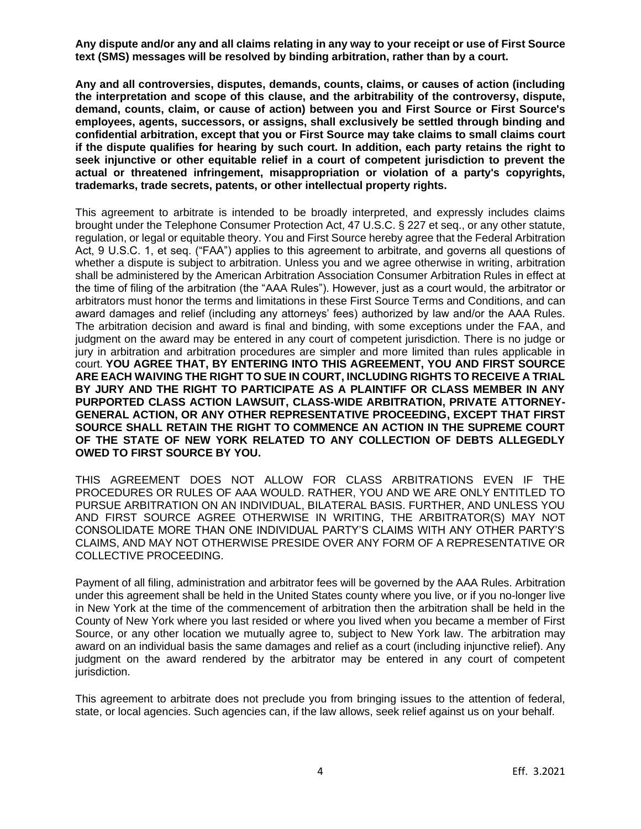**Any dispute and/or any and all claims relating in any way to your receipt or use of First Source text (SMS) messages will be resolved by binding arbitration, rather than by a court.**

**Any and all controversies, disputes, demands, counts, claims, or causes of action (including the interpretation and scope of this clause, and the arbitrability of the controversy, dispute, demand, counts, claim, or cause of action) between you and First Source or First Source's employees, agents, successors, or assigns, shall exclusively be settled through binding and confidential arbitration, except that you or First Source may take claims to small claims court if the dispute qualifies for hearing by such court. In addition, each party retains the right to seek injunctive or other equitable relief in a court of competent jurisdiction to prevent the actual or threatened infringement, misappropriation or violation of a party's copyrights, trademarks, trade secrets, patents, or other intellectual property rights.**

This agreement to arbitrate is intended to be broadly interpreted, and expressly includes claims brought under the Telephone Consumer Protection Act, 47 U.S.C. § 227 et seq., or any other statute, regulation, or legal or equitable theory. You and First Source hereby agree that the Federal Arbitration Act, 9 U.S.C. 1, et seq. ("FAA") applies to this agreement to arbitrate, and governs all questions of whether a dispute is subject to arbitration. Unless you and we agree otherwise in writing, arbitration shall be administered by the American Arbitration Association Consumer Arbitration Rules in effect at the time of filing of the arbitration (the "AAA Rules"). However, just as a court would, the arbitrator or arbitrators must honor the terms and limitations in these First Source Terms and Conditions, and can award damages and relief (including any attorneys' fees) authorized by law and/or the AAA Rules. The arbitration decision and award is final and binding, with some exceptions under the FAA, and judgment on the award may be entered in any court of competent jurisdiction. There is no judge or jury in arbitration and arbitration procedures are simpler and more limited than rules applicable in court. **YOU AGREE THAT, BY ENTERING INTO THIS AGREEMENT, YOU AND FIRST SOURCE ARE EACH WAIVING THE RIGHT TO SUE IN COURT, INCLUDING RIGHTS TO RECEIVE A TRIAL BY JURY AND THE RIGHT TO PARTICIPATE AS A PLAINTIFF OR CLASS MEMBER IN ANY PURPORTED CLASS ACTION LAWSUIT, CLASS-WIDE ARBITRATION, PRIVATE ATTORNEY-GENERAL ACTION, OR ANY OTHER REPRESENTATIVE PROCEEDING, EXCEPT THAT FIRST SOURCE SHALL RETAIN THE RIGHT TO COMMENCE AN ACTION IN THE SUPREME COURT OF THE STATE OF NEW YORK RELATED TO ANY COLLECTION OF DEBTS ALLEGEDLY OWED TO FIRST SOURCE BY YOU.**

THIS AGREEMENT DOES NOT ALLOW FOR CLASS ARBITRATIONS EVEN IF THE PROCEDURES OR RULES OF AAA WOULD. RATHER, YOU AND WE ARE ONLY ENTITLED TO PURSUE ARBITRATION ON AN INDIVIDUAL, BILATERAL BASIS. FURTHER, AND UNLESS YOU AND FIRST SOURCE AGREE OTHERWISE IN WRITING, THE ARBITRATOR(S) MAY NOT CONSOLIDATE MORE THAN ONE INDIVIDUAL PARTY'S CLAIMS WITH ANY OTHER PARTY'S CLAIMS, AND MAY NOT OTHERWISE PRESIDE OVER ANY FORM OF A REPRESENTATIVE OR COLLECTIVE PROCEEDING.

Payment of all filing, administration and arbitrator fees will be governed by the AAA Rules. Arbitration under this agreement shall be held in the United States county where you live, or if you no-longer live in New York at the time of the commencement of arbitration then the arbitration shall be held in the County of New York where you last resided or where you lived when you became a member of First Source, or any other location we mutually agree to, subject to New York law. The arbitration may award on an individual basis the same damages and relief as a court (including injunctive relief). Any judgment on the award rendered by the arbitrator may be entered in any court of competent jurisdiction.

This agreement to arbitrate does not preclude you from bringing issues to the attention of federal, state, or local agencies. Such agencies can, if the law allows, seek relief against us on your behalf.